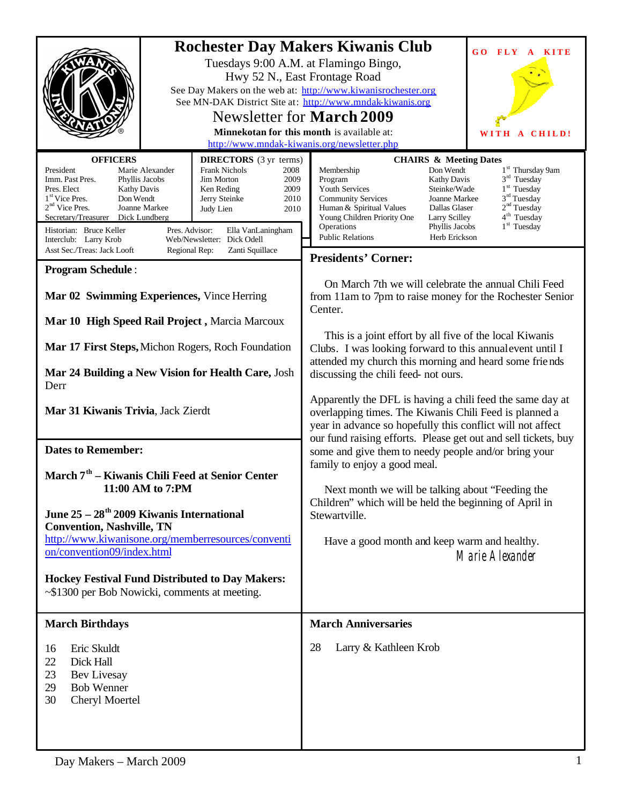|                                                                                                                                                                                                                                                                                                                                                                                                                                                                                                                                           | <b>Rochester Day Makers Kiwanis Club</b><br>GO FLY A<br>KITE<br>Tuesdays 9:00 A.M. at Flamingo Bingo,<br>Hwy 52 N., East Frontage Road<br>See Day Makers on the web at: http://www.kiwanisrochester.org<br>See MN-DAK District Site at: http://www.mndak-kiwanis.org<br>Newsletter for <b>March</b> 2009<br>Minnekotan for this month is available at:<br>A CHILD!<br>WITH<br>http://www.mndak-kiwanis.org/newsletter.php                                                                                                                      |  |  |  |
|-------------------------------------------------------------------------------------------------------------------------------------------------------------------------------------------------------------------------------------------------------------------------------------------------------------------------------------------------------------------------------------------------------------------------------------------------------------------------------------------------------------------------------------------|------------------------------------------------------------------------------------------------------------------------------------------------------------------------------------------------------------------------------------------------------------------------------------------------------------------------------------------------------------------------------------------------------------------------------------------------------------------------------------------------------------------------------------------------|--|--|--|
| <b>OFFICERS</b><br><b>DIRECTORS</b> (3 yr terms)<br><b>Frank Nichols</b><br>President<br>Marie Alexander<br>2008<br>Imm. Past Pres.<br>Phyllis Jacobs<br><b>Jim Morton</b><br>2009<br>Pres. Elect<br><b>Kathy Davis</b><br>Ken Reding<br>2009<br>1 <sup>st</sup> Vice Pres.<br>Don Wendt<br>2010<br>Jerry Steinke<br>$2nd$ Vice Pres.<br>Joanne Markee<br>2010<br>Judy Lien<br>Secretary/Treasurer Dick Lundberg<br>Historian: Bruce Keller<br>Pres. Advisor:<br>Ella VanLaningham<br>Interclub: Larry Krob<br>Web/Newsletter: Dick Odell | <b>CHAIRS &amp; Meeting Dates</b><br>Don Wendt<br>1 <sup>st</sup> Thursday 9am<br>Membership<br>$3rd$ Tuesday<br>Program<br>Kathy Davis<br>1 <sup>st</sup> Tuesday<br>Steinke/Wade<br>Youth Services<br>3 <sup>rd</sup> Tuesday<br><b>Community Services</b><br><b>Joanne Markee</b><br>2 <sup>nd</sup> Tuesday<br>Human & Spiritual Values<br>Dallas Glaser<br>4 <sup>th</sup> Tuesday<br>Young Children Priority One<br>Larry Scilley<br>1 <sup>st</sup> Tuesday<br>Operations<br>Phyllis Jacobs<br>Herb Erickson<br><b>Public Relations</b> |  |  |  |
| Asst Sec./Treas: Jack Looft<br>Regional Rep:<br>Zanti Squillace                                                                                                                                                                                                                                                                                                                                                                                                                                                                           | <b>Presidents' Corner:</b>                                                                                                                                                                                                                                                                                                                                                                                                                                                                                                                     |  |  |  |
| <b>Program Schedule:</b>                                                                                                                                                                                                                                                                                                                                                                                                                                                                                                                  |                                                                                                                                                                                                                                                                                                                                                                                                                                                                                                                                                |  |  |  |
| Mar 02 Swimming Experiences, Vince Herring<br>Mar 10 High Speed Rail Project, Marcia Marcoux                                                                                                                                                                                                                                                                                                                                                                                                                                              | On March 7th we will celebrate the annual Chili Feed<br>from 11am to 7pm to raise money for the Rochester Senior<br>Center.                                                                                                                                                                                                                                                                                                                                                                                                                    |  |  |  |
|                                                                                                                                                                                                                                                                                                                                                                                                                                                                                                                                           |                                                                                                                                                                                                                                                                                                                                                                                                                                                                                                                                                |  |  |  |
| Mar 17 First Steps, Michon Rogers, Roch Foundation<br>Mar 24 Building a New Vision for Health Care, Josh                                                                                                                                                                                                                                                                                                                                                                                                                                  | This is a joint effort by all five of the local Kiwanis<br>Clubs. I was looking forward to this annual event until I<br>attended my church this morning and heard some friends<br>discussing the chili feed- not ours.                                                                                                                                                                                                                                                                                                                         |  |  |  |
| Derr                                                                                                                                                                                                                                                                                                                                                                                                                                                                                                                                      |                                                                                                                                                                                                                                                                                                                                                                                                                                                                                                                                                |  |  |  |
| Mar 31 Kiwanis Trivia, Jack Zierdt                                                                                                                                                                                                                                                                                                                                                                                                                                                                                                        | Apparently the DFL is having a chili feed the same day at<br>overlapping times. The Kiwanis Chili Feed is planned a<br>year in advance so hopefully this conflict will not affect<br>our fund raising efforts. Please get out and sell tickets, buy                                                                                                                                                                                                                                                                                            |  |  |  |
| <b>Dates to Remember:</b>                                                                                                                                                                                                                                                                                                                                                                                                                                                                                                                 | some and give them to needy people and/or bring your                                                                                                                                                                                                                                                                                                                                                                                                                                                                                           |  |  |  |
|                                                                                                                                                                                                                                                                                                                                                                                                                                                                                                                                           | family to enjoy a good meal.                                                                                                                                                                                                                                                                                                                                                                                                                                                                                                                   |  |  |  |
| March 7 <sup>th</sup> – Kiwanis Chili Feed at Senior Center                                                                                                                                                                                                                                                                                                                                                                                                                                                                               |                                                                                                                                                                                                                                                                                                                                                                                                                                                                                                                                                |  |  |  |
| 11:00 AM to 7:PM                                                                                                                                                                                                                                                                                                                                                                                                                                                                                                                          | Next month we will be talking about "Feeding the                                                                                                                                                                                                                                                                                                                                                                                                                                                                                               |  |  |  |
| June $25 - 28$ <sup>th</sup> 2009 Kiwanis International<br><b>Convention, Nashville, TN</b>                                                                                                                                                                                                                                                                                                                                                                                                                                               | Children" which will be held the beginning of April in<br>Stewartville.                                                                                                                                                                                                                                                                                                                                                                                                                                                                        |  |  |  |
| http://www.kiwanisone.org/memberresources/conventi                                                                                                                                                                                                                                                                                                                                                                                                                                                                                        |                                                                                                                                                                                                                                                                                                                                                                                                                                                                                                                                                |  |  |  |
| on/convention09/index.html                                                                                                                                                                                                                                                                                                                                                                                                                                                                                                                | Have a good month and keep warm and healthy.<br>Marie Alexander                                                                                                                                                                                                                                                                                                                                                                                                                                                                                |  |  |  |
| Hockey Festival Fund Distributed to Day Makers:                                                                                                                                                                                                                                                                                                                                                                                                                                                                                           |                                                                                                                                                                                                                                                                                                                                                                                                                                                                                                                                                |  |  |  |
| ~\$1300 per Bob Nowicki, comments at meeting.                                                                                                                                                                                                                                                                                                                                                                                                                                                                                             |                                                                                                                                                                                                                                                                                                                                                                                                                                                                                                                                                |  |  |  |
| <b>March Birthdays</b>                                                                                                                                                                                                                                                                                                                                                                                                                                                                                                                    | <b>March Anniversaries</b>                                                                                                                                                                                                                                                                                                                                                                                                                                                                                                                     |  |  |  |
| Eric Skuldt<br>16<br>22<br>Dick Hall<br>23<br>Bev Livesay<br>29<br><b>Bob Wenner</b><br>30<br>Cheryl Moertel                                                                                                                                                                                                                                                                                                                                                                                                                              | 28<br>Larry & Kathleen Krob                                                                                                                                                                                                                                                                                                                                                                                                                                                                                                                    |  |  |  |
|                                                                                                                                                                                                                                                                                                                                                                                                                                                                                                                                           |                                                                                                                                                                                                                                                                                                                                                                                                                                                                                                                                                |  |  |  |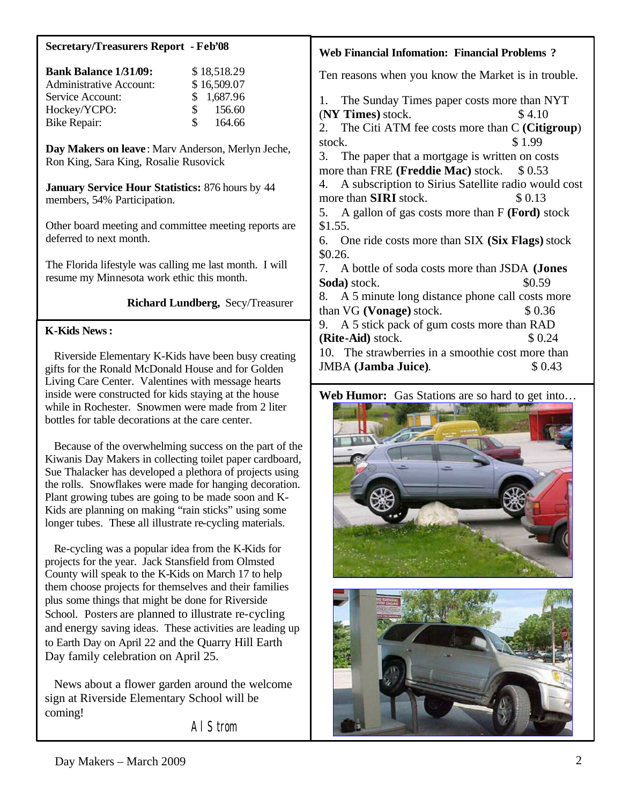| <b>Secretary/Treasurers Report - Feb'08</b>                                                                                                                                                                                                                                                                                                                                                                           | <b>Web Financial Infomation: Financial Problems?</b>                                                                                                                                                            |  |  |  |  |
|-----------------------------------------------------------------------------------------------------------------------------------------------------------------------------------------------------------------------------------------------------------------------------------------------------------------------------------------------------------------------------------------------------------------------|-----------------------------------------------------------------------------------------------------------------------------------------------------------------------------------------------------------------|--|--|--|--|
| <b>Bank Balance 1/31/09:</b><br>\$18,518.29<br><b>Administrative Account:</b><br>\$16,509.07                                                                                                                                                                                                                                                                                                                          | Ten reasons when you know the Market is in trouble.                                                                                                                                                             |  |  |  |  |
| 1,687.96<br>Service Account:<br>\$<br>\$<br>156.60<br>Hockey/YCPO:<br>\$<br>164.66<br><b>Bike Repair:</b>                                                                                                                                                                                                                                                                                                             | The Sunday Times paper costs more than NYT<br>1.<br>(NY Times) stock.<br>\$4.10                                                                                                                                 |  |  |  |  |
|                                                                                                                                                                                                                                                                                                                                                                                                                       | The Citi ATM fee costs more than C (Citigroup)<br>stock.<br>\$1.99                                                                                                                                              |  |  |  |  |
| Day Makers on leave: Marv Anderson, Merlyn Jeche,<br>Ron King, Sara King, Rosalie Rusovick                                                                                                                                                                                                                                                                                                                            | 3.<br>The paper that a mortgage is written on costs<br>more than FRE (Freddie Mac) stock.<br>\$0.53                                                                                                             |  |  |  |  |
| January Service Hour Statistics: 876 hours by 44<br>members, 54% Participation.                                                                                                                                                                                                                                                                                                                                       | A subscription to Sirius Satellite radio would cost<br>4.<br>more than <b>SIRI</b> stock.<br>\$0.13                                                                                                             |  |  |  |  |
| Other board meeting and committee meeting reports are<br>deferred to next month.                                                                                                                                                                                                                                                                                                                                      | 5. A gallon of gas costs more than F (Ford) stock<br>\$1.55.<br>One ride costs more than SIX (Six Flags) stock<br>6.<br>\$0.26.<br>A bottle of soda costs more than JSDA (Jones<br>7.<br>Soda) stock.<br>\$0.59 |  |  |  |  |
| The Florida lifestyle was calling me last month. I will<br>resume my Minnesota work ethic this month.                                                                                                                                                                                                                                                                                                                 |                                                                                                                                                                                                                 |  |  |  |  |
| Richard Lundberg, Secy/Treasurer                                                                                                                                                                                                                                                                                                                                                                                      | 8. A 5 minute long distance phone call costs more<br>than VG (Vonage) stock.<br>\$0.36                                                                                                                          |  |  |  |  |
| <b>K-Kids News:</b>                                                                                                                                                                                                                                                                                                                                                                                                   | A 5 stick pack of gum costs more than RAD<br>9.<br>(Rite-Aid) stock.<br>\$0.24                                                                                                                                  |  |  |  |  |
| Riverside Elementary K-Kids have been busy creating<br>gifts for the Ronald McDonald House and for Golden<br>Living Care Center. Valentines with message hearts                                                                                                                                                                                                                                                       | 10. The strawberries in a smoothie cost more than<br><b>JMBA</b> (Jamba Juice).<br>\$0.43                                                                                                                       |  |  |  |  |
| inside were constructed for kids staying at the house<br>while in Rochester. Snowmen were made from 2 liter<br>bottles for table decorations at the care center.                                                                                                                                                                                                                                                      | Web Humor: Gas Stations are so hard to get into                                                                                                                                                                 |  |  |  |  |
| Because of the overwhelming success on the part of the<br>Kiwanis Day Makers in collecting toilet paper cardboard,<br>Sue Thalacker has developed a plethora of projects using<br>the rolls. Snowflakes were made for hanging decoration.<br>Plant growing tubes are going to be made soon and K-<br>Kids are planning on making "rain sticks" using some<br>longer tubes. These all illustrate re-cycling materials. |                                                                                                                                                                                                                 |  |  |  |  |
| Re-cycling was a popular idea from the K-Kids for                                                                                                                                                                                                                                                                                                                                                                     |                                                                                                                                                                                                                 |  |  |  |  |

projects for the year. Jack Stansfield from Olmsted County will speak to the K-Kids on March 17 to help them choose projects for themselves and their families plus some things that might be done for Riverside School. Posters are planned to illustrate re-cycling and energy saving ideas. These activities are leading up to Earth Day on April 22 and the Quarry Hill Earth Day family celebration on April 25.

 News about a flower garden around the welcome sign at Riverside Elementary School will be coming!

Al Strom